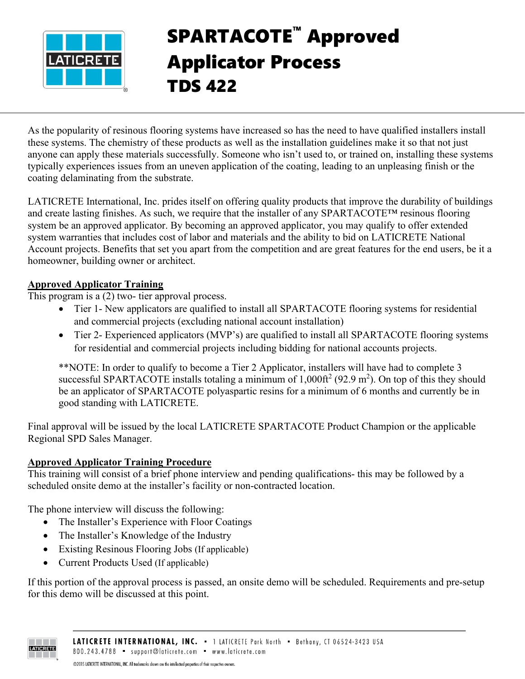

## SPARTACOTE™ Approved Applicator Process TDS 422

As the popularity of resinous flooring systems have increased so has the need to have qualified installers install these systems. The chemistry of these products as well as the installation guidelines make it so that not just anyone can apply these materials successfully. Someone who isn't used to, or trained on, installing these systems typically experiences issues from an uneven application of the coating, leading to an unpleasing finish or the coating delaminating from the substrate.

LATICRETE International, Inc. prides itself on offering quality products that improve the durability of buildings and create lasting finishes. As such, we require that the installer of any SPARTACOTE™ resinous flooring system be an approved applicator. By becoming an approved applicator, you may qualify to offer extended system warranties that includes cost of labor and materials and the ability to bid on LATICRETE National Account projects. Benefits that set you apart from the competition and are great features for the end users, be it a homeowner, building owner or architect.

## **Approved Applicator Training**

This program is a (2) two- tier approval process.

- Tier 1- New applicators are qualified to install all SPARTACOTE flooring systems for residential and commercial projects (excluding national account installation)
- Tier 2- Experienced applicators (MVP's) are qualified to install all SPARTACOTE flooring systems for residential and commercial projects including bidding for national accounts projects.

\*\*NOTE: In order to qualify to become a Tier 2 Applicator, installers will have had to complete 3 successful SPARTACOTE installs totaling a minimum of  $1,000 \text{ ft}^2 (92.9 \text{ m}^2)$ . On top of this they should be an applicator of SPARTACOTE polyaspartic resins for a minimum of 6 months and currently be in good standing with LATICRETE.

Final approval will be issued by the local LATICRETE SPARTACOTE Product Champion or the applicable Regional SPD Sales Manager.

## **Approved Applicator Training Procedure**

This training will consist of a brief phone interview and pending qualifications- this may be followed by a scheduled onsite demo at the installer's facility or non-contracted location.

The phone interview will discuss the following:

- The Installer's Experience with Floor Coatings
- The Installer's Knowledge of the Industry
- Existing Resinous Flooring Jobs (If applicable)
- Current Products Used (If applicable)

If this portion of the approval process is passed, an onsite demo will be scheduled. Requirements and pre-setup for this demo will be discussed at this point.